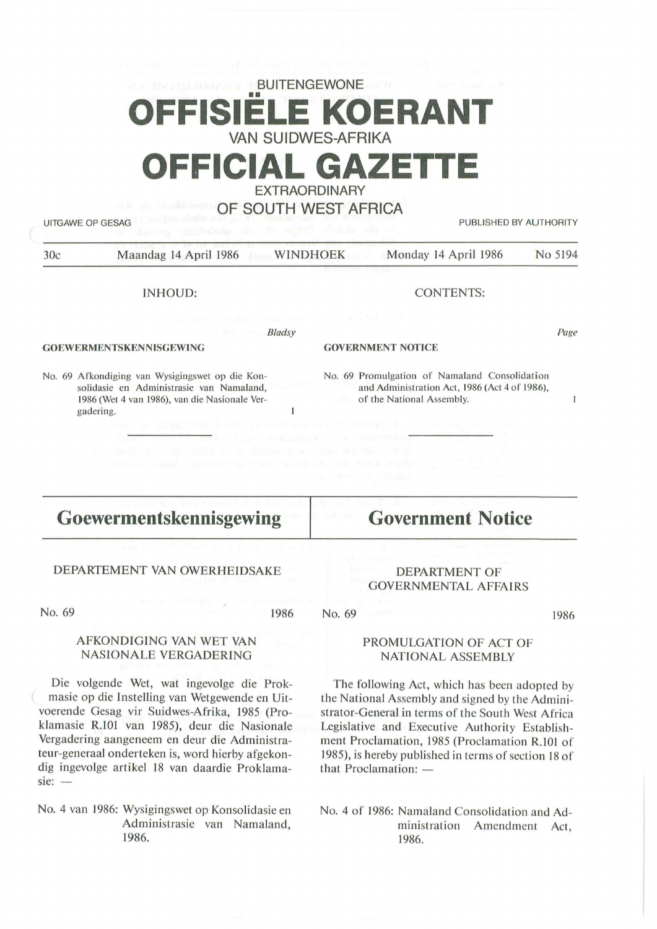# **BUITENGEWONE F KOERAN** VAN SUIDWES-AFRIKA FFICIAL GAZET

EXTRAORDINARY

### OF SOUTH WEST AFRICA

*8 /adsy* 

 $\mathbf{1}$ 

UITGAWE OP GESAG PUBLISHED BY AUTHORITY

30c Maandag 14 April 1986 WINDHOEK Monday 14 April 1986 No 5194

INHOUD:

CONTENTS:

#### **GOEWERMENTSKEN N ISGEWING**

No. 69 Afkondiging van Wysigingswet op die Konsolidasie en Administrasie van Namaland, 1986 (Wet 4 van 1986), van die Nasionale Vergadering.

#### **GOVERNMENT NOTICE**

No. 69 Promulgation of Namaland Consolidation and Administration Act, 1986 (Act 4 of 1986), of the National Assembly.

 $\mathbf{I}$ 

Page

### **Goewermentskennisgewing**

### DEPARTEMENT VAN OWERHEIDSAKE

AFKONDIGING VAN WET VAN NASIONALE VERGADERING

No. 69

#### 1986

# **Government Notice**

### DEPARTMENT OF GOVERNMENTAL AFFAIRS

1986

### PROMULGATION OF ACT OF **NATIONAL ASSEMBLY**

The following Act, which has been adopted by the National Assembly and signed by the Administrator-General in terms of the South West Africa Legislative and Executive Authority Establishment Proclamation, 1985 (Proclamation R.101 of 1985), is hereby published in terms of section 18 of that Proclamation:  $-$ 

No. 4 of 1986: Namaland Consolidation and Administration Amendment Act, 1986.

Die volgende Wet, wat ingevolge die Prokmasie op die lnstelling van Wetgewende en Uitvoerende Gesag vir Suidwes-Afrika, 1985 (Proklamasie R.101 van 1985), deur die Nasionale

Vergadering aangeneem en deur die Administrateur-generaal onderteken is, word hierby afgekondig ingevolge artikel 18 van daardie Proklama $sie: -$ 

No. 4 van 1986: Wysigingswet op Konsolidasie en Administrasie van Namaland, 1986.

No. 69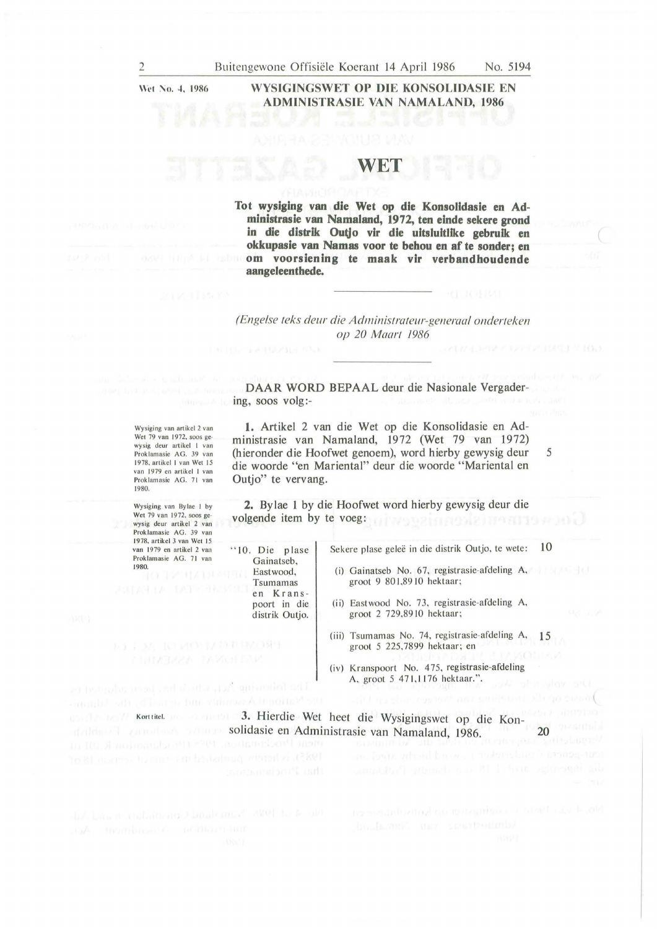Wet No. 4, 1986

### **WYSIGINGSWET OP DIE KONSOLIDASIE EN ADMINISTRASIE VAN NAMALAND, 1986**

# **WET**

**Tot wysiging van die Wet op die Konsolldasie en Administrasie van Namaland, 1972, ten elnde sekere grond in die distrik Outjo vir die uitsluitlike gebruik en okkupasie van Namas voor te behou en af te sonder; en om voorsiening te maak vir verbandhoudende aangeleenthede.** 

### *(Engelse teks deur die Administrateur-generaal onderteken op 20 Maart 1986*

**DAAR WORD BEPAAL deur die Nasionale Vergader**ing, soos volg:-

Wysiging van artikel 2 van Wet 79 van 1972, soos gewysig deur artikel 1 van<br>Proklamasie AG. 39 van I 978. a rtik el I van Wet I *5*  van 1979 en artikel 1 van Proklamasie AG. 71 van 1980.

Wysiging van By lae I by Wet 79 van 1972. soos gewysig deur artikel 2 van Prok lamasie AG. 39 van 1978, artikel 3 van Wet 15 van 1979 en artikcl 2 van Proklamasie AG. 71 van 1980.<br>**Figure 11 Members 1980.** 

the following Act, which has been adjoined an

**1. Artikel 2 van die Wet op die Konsolidasie en Administrasie van Namaland,** 1972 **(Wet** 79 van 1972) **(hieronder die Hoofwet genoem), word hierby gewysig deur die woorde "en Mariental" deur die woorde "Mariental en Outjo" te vervang.** 

**2.** Bylae 1 by die Hoofwet word hierby gewysig deur die volgende item by te voeg: a have unimerally health and be

> Sekere plase geleë in die distrik Outjo, te wete: 10

5

- (i) Gai natseb No. 67, registrasie-afdeling **A,**  groot 9 801,8910 hektaar;
- (ii) Eastwood No. 73, registrasie-afdeling A, groot 2 729,89 10 hektaar;
- (iii) Tsumamas No. 74, registrasie-afdeling A, 15 groot 5 225.7899 hektaar; en
- (iv) Kranspoort No. 475, registrasie-afdeling A. groot 5 471,1176 hektaar.".

Kort titel. **1988 is 1998 is 13. Hierdie Wet heet die Wysigingswet op die Kon**solidasie en Administrasie van Namaland, 1986. 20 a.C. 20 a.C. 20 a.C. 20 a.C. 20 a.C. 20 a.C. 20 a.C. 20 a.C. 20 a.C. 20 a.C. 20 a.C. 20 a.C. 20 a.C. 20 a.C. 20 a.C. 20 a.C. 20 a.C. 20 a.C. 20 a.C. 20 a.C. 20 a.C. 20 a.C.

"10. Die plase Gainatseb, Eastwood, Tsumamas en Krans poort in die distrik Outjo.